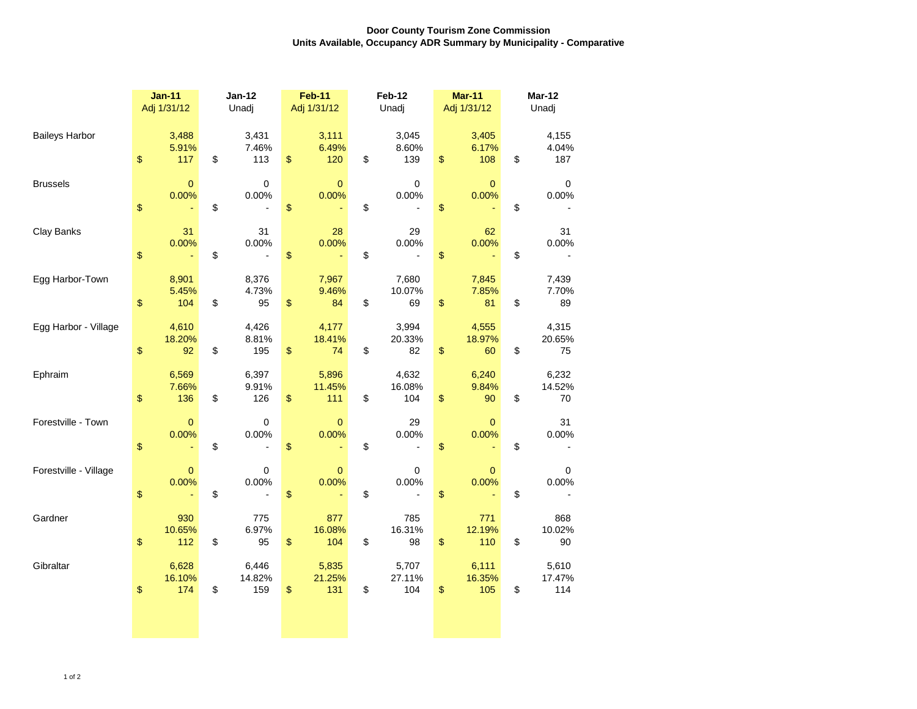## **Door County Tourism Zone Commission Units Available, Occupancy ADR Summary by Municipality - Comparative**

|                       | $Jan-11$                     | $Jan-12$<br>Unadj     |                                         | <b>Feb-11</b>          | Feb-12<br>Unadj |                        | <b>Mar-11</b>                | <b>Mar-12</b><br>Unadj |                        |
|-----------------------|------------------------------|-----------------------|-----------------------------------------|------------------------|-----------------|------------------------|------------------------------|------------------------|------------------------|
|                       | Adj 1/31/12                  |                       |                                         | Adj 1/31/12            |                 |                        | Adj 1/31/12                  |                        |                        |
| <b>Baileys Harbor</b> | 3,488<br>5.91%<br>\$<br>117  | 3,431<br>\$           | 7.46%<br>\$<br>113                      | 3,111<br>6.49%<br>120  | \$              | 3,045<br>8.60%<br>139  | 3,405<br>6.17%<br>\$<br>108  | \$                     | 4,155<br>4.04%<br>187  |
| <b>Brussels</b>       | $\mathbf{0}$<br>0.00%<br>\$  | \$                    | $\pmb{0}$<br>0.00%<br>\$                | $\pmb{0}$<br>0.00%     | \$              | 0<br>0.00%             | $\mathbf{0}$<br>0.00%<br>\$  | \$                     | 0<br>0.00%             |
| Clay Banks            | 31<br>0.00%<br>\$            | \$                    | 31<br>0.00%<br>\$                       | 28<br>0.00%            | \$              | 29<br>0.00%            | 62<br>0.00%<br>\$            | \$                     | 31<br>0.00%            |
| Egg Harbor-Town       | 8,901<br>5.45%<br>\$<br>104  | 8,376<br>\$           | 4.73%<br>\$<br>95                       | 7,967<br>9.46%<br>84   | \$              | 7,680<br>10.07%<br>69  | 7,845<br>7.85%<br>\$<br>81   | \$                     | 7,439<br>7.70%<br>89   |
| Egg Harbor - Village  | 4,610<br>18.20%<br>\$<br>92  | 4,426<br>\$           | 8.81%<br>\$<br>195                      | 4,177<br>18.41%<br>74  | \$              | 3,994<br>20.33%<br>82  | 4,555<br>18.97%<br>\$<br>60  | \$                     | 4,315<br>20.65%<br>75  |
| Ephraim               | 6,569<br>7.66%<br>\$<br>136  | 6,397<br>\$           | 9.91%<br>\$<br>126                      | 5,896<br>11.45%<br>111 | \$              | 4,632<br>16.08%<br>104 | 6,240<br>9.84%<br>\$<br>90   | \$                     | 6,232<br>14.52%<br>70  |
| Forestville - Town    | $\mathbf{0}$<br>0.00%<br>\$  | \$                    | $\pmb{0}$<br>0.00%<br>\$                | $\mathbf{0}$<br>0.00%  | \$              | 29<br>0.00%            | $\mathbf{0}$<br>0.00%<br>\$  | \$                     | 31<br>0.00%            |
| Forestville - Village | $\mathbf{0}$<br>0.00%<br>\$  | \$                    | 0<br>0.00%<br>\$                        | $\mathbf{0}$<br>0.00%  | \$              | 0<br>0.00%             | $\mathbf{0}$<br>0.00%<br>\$  | \$                     | 0<br>0.00%             |
| Gardner               | 930<br>10.65%<br>\$<br>112   | \$                    | 775<br>6.97%<br>$\boldsymbol{\$}$<br>95 | 877<br>16.08%<br>104   | \$              | 785<br>16.31%<br>98    | 771<br>12.19%<br>\$<br>110   | \$                     | 868<br>10.02%<br>90    |
| Gibraltar             | 6,628<br>16.10%<br>\$<br>174 | 6,446<br>14.82%<br>\$ | 159<br>\$                               | 5,835<br>21.25%<br>131 | \$              | 5,707<br>27.11%<br>104 | 6,111<br>16.35%<br>\$<br>105 | \$                     | 5,610<br>17.47%<br>114 |
|                       |                              |                       |                                         |                        |                 |                        |                              |                        |                        |